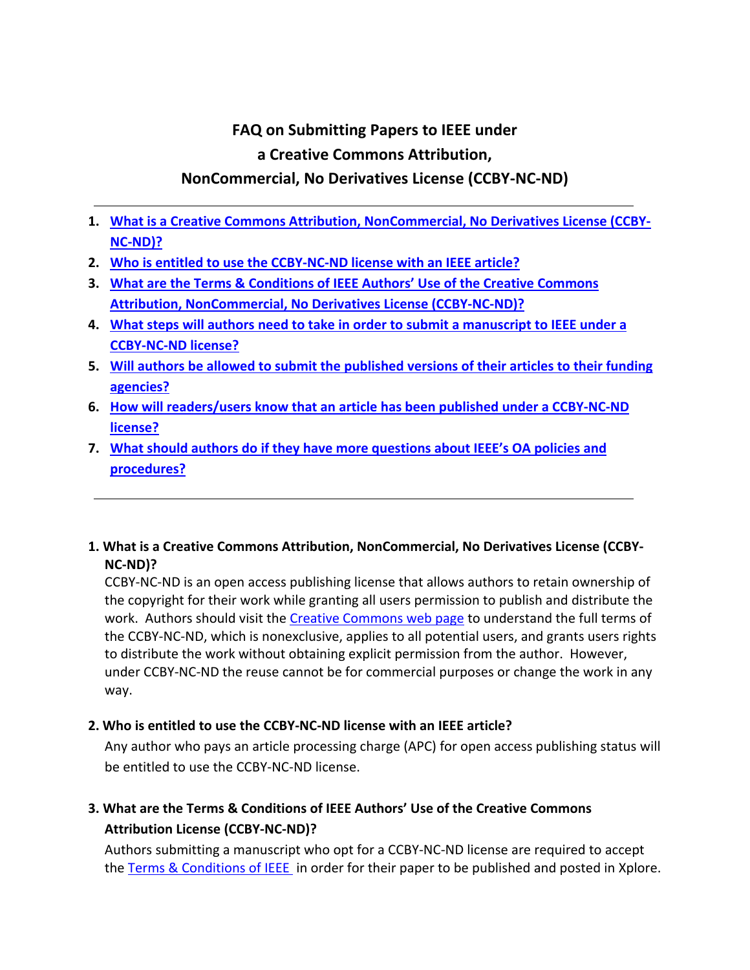# **FAQ on Submitting Papers to IEEE under a Creative Commons Attribution,**

## **NonCommercial, No Derivatives License (CCBY-NC-ND)**

- **1. [What is a Creative Commons Attribution, NonCommercial, No Derivatives License \(CCBY-](#page-0-0)[NC-ND\)?](#page-0-0)**
- **2. [Who is entitled to use the CCBY-NC-ND](#page-0-1) license with an IEEE article?**
- **3. [What are the Terms & Conditions of IEEE Authors' Use of the Creative Commons](#page-0-2)  [Attribution, NonCommercial, No Derivatives License \(CCBY-NC-ND\)?](#page-0-2)**
- **4. [What steps will authors need to take in order to submit a manuscript to IEEE under a](#page-1-0)  [CCBY-NC-ND](#page-1-0) license?**
- **5. [Will authors be allowed to submit the published versions of their articles to their funding](#page-1-1)  [agencies?](#page-1-1)**
- **6. [How will readers/users know that an article has been published under a CCBY-NC-ND](#page-1-2) [license?](#page-1-2)**
- **7. [What should authors do if they have more questions about IEEE's OA policies and](#page-1-3)  [procedures?](#page-1-3)**
- <span id="page-0-0"></span>**1. What is a Creative Commons Attribution, NonCommercial, No Derivatives License (CCBY-NC-ND)?**

CCBY-NC-ND is an open access publishing license that allows authors to retain ownership of the copyright for their work while granting all users permission to publish and distribute the work. Authors should visit th[e Creative Commons web page](https://creativecommons.org/licenses/by/4.0/) to understand the full terms of the CCBY-NC-ND, which is nonexclusive, applies to all potential users, and grants users rights to distribute the work without obtaining explicit permission from the author. However, under CCBY-NC-ND the reuse cannot be for commercial purposes or change the work in any way.

### <span id="page-0-1"></span>**2. Who is entitled to use the CCBY-NC-ND license with an IEEE article?**

Any author who pays an article processing charge (APC) for open access publishing status will be entitled to use the CCBY-NC-ND license.

## <span id="page-0-2"></span>**3. What are the Terms & Conditions of IEEE Authors' Use of the Creative Commons Attribution License (CCBY-NC-ND)?**

Authors submitting a manuscript who opt for a CCBY-NC-ND license are required to accept the [Terms & Conditions of IEEE](http://www.ieee.org/publications_standards/publications/rights/oatermsconditionsfull.html) in order for their paper to be published and posted in Xplore.